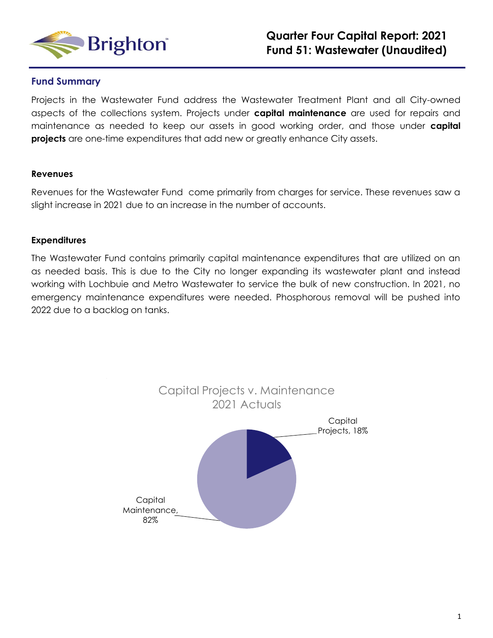

### **Fund Summary**

Projects in the Wastewater Fund address the Wastewater Treatment Plant and all City-owned aspects of the collections system. Projects under **capital maintenance** are used for repairs and maintenance as needed to keep our assets in good working order, and those under **capital projects** are one-time expenditures that add new or greatly enhance City assets.

#### **Revenues**

Revenues for the Wastewater Fund come primarily from charges for service. These revenues saw a slight increase in 2021 due to an increase in the number of accounts.

#### **Expenditures**

The Wastewater Fund contains primarily capital maintenance expenditures that are utilized on an as needed basis. This is due to the City no longer expanding its wastewater plant and instead working with Lochbuie and Metro Wastewater to service the bulk of new construction. In 2021, no emergency maintenance expenditures were needed. Phosphorous removal will be pushed into 2022 due to a backlog on tanks.

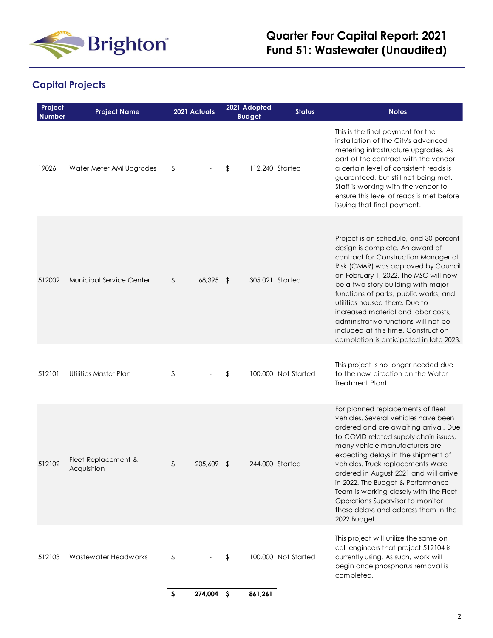

# **Quarter Four Capital Report: 2021 Fund 51: Wastewater (Unaudited)**

## **Capital Projects**

| Project<br><b>Number</b> | <b>Project Name</b>                | 2021 Actuals              | 2021 Adopted<br><b>Budget</b> | <b>Status</b>       | <b>Notes</b>                                                                                                                                                                                                                                                                                                                                                                                                                                                                                   |
|--------------------------|------------------------------------|---------------------------|-------------------------------|---------------------|------------------------------------------------------------------------------------------------------------------------------------------------------------------------------------------------------------------------------------------------------------------------------------------------------------------------------------------------------------------------------------------------------------------------------------------------------------------------------------------------|
| 19026                    | Water Meter AMI Upgrades           | \$                        | \$                            | 112,240 Started     | This is the final payment for the<br>installation of the City's advanced<br>metering infrastructure upgrades. As<br>part of the contract with the vendor<br>a certain level of consistent reads is<br>guaranteed, but still not being met.<br>Staff is working with the vendor to<br>ensure this level of reads is met before<br>issuing that final payment.                                                                                                                                   |
| 512002                   | Municipal Service Center           | 68,395 \$<br>\$           |                               | 305,021 Started     | Project is on schedule, and 30 percent<br>design is complete. An award of<br>contract for Construction Manager at<br>Risk (CMAR) was approved by Council<br>on February 1, 2022. The MSC will now<br>be a two story building with major<br>functions of parks, public works, and<br>utilities housed there. Due to<br>increased material and labor costs.<br>administrative functions will not be<br>included at this time. Construction<br>completion is anticipated in late 2023.            |
| 512101                   | <b>Utilities Master Plan</b>       | \$                        | \$                            | 100,000 Not Started | This project is no longer needed due<br>to the new direction on the Water<br>Treatment Plant.                                                                                                                                                                                                                                                                                                                                                                                                  |
| 512102                   | Fleet Replacement &<br>Acquisition | \$<br>205,609             | $\sqrt{2}$                    | 244,000 Started     | For planned replacements of fleet<br>vehicles. Several vehicles have been<br>ordered and are awaiting arrival. Due<br>to COVID related supply chain issues,<br>many vehicle manufacturers are<br>expecting delays in the shipment of<br>vehicles. Truck replacements Were<br>ordered in August 2021 and will arrive<br>in 2022. The Budget & Performance<br>Team is working closely with the Fleet<br>Operations Supervisor to monitor<br>these delays and address them in the<br>2022 Budget. |
| 512103                   | Wastewater Headworks               | \$                        | \$                            | 100,000 Not Started | This project will utilize the same on<br>call engineers that project 512104 is<br>currently using. As such, work will<br>begin once phosphorus removal is<br>completed.                                                                                                                                                                                                                                                                                                                        |
|                          |                                    | $\varsigma$<br>274,004 \$ | 861,261                       |                     |                                                                                                                                                                                                                                                                                                                                                                                                                                                                                                |